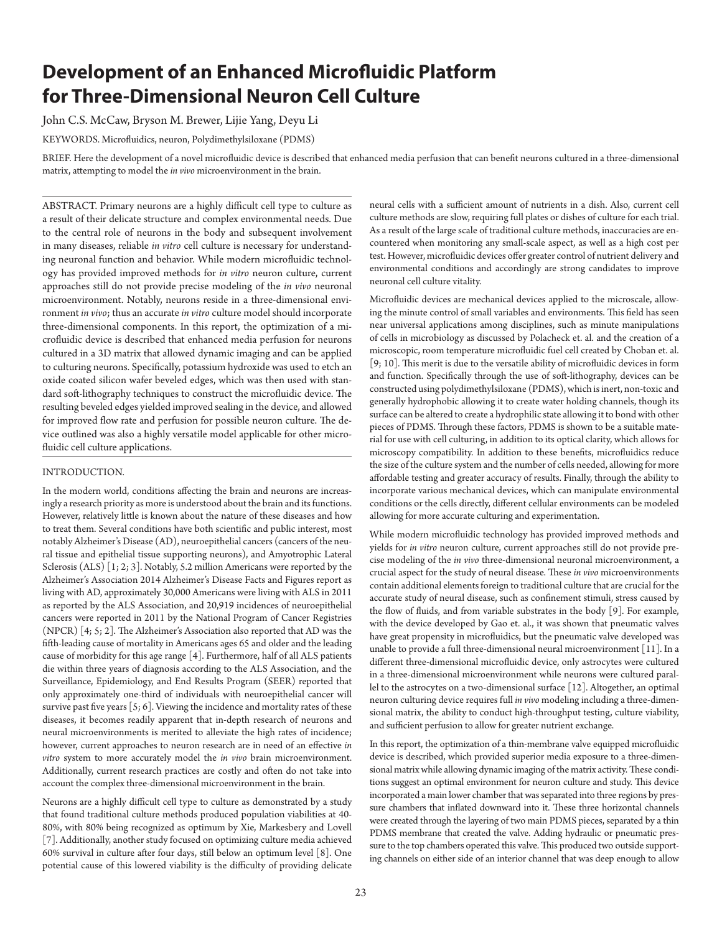# **Development of an Enhanced Microfluidic Platform for Three-Dimensional Neuron Cell Culture**

John C.S. McCaw, Bryson M. Brewer, Lijie Yang, Deyu Li

KEYWORDS. Microfluidics, neuron, Polydimethylsiloxane (PDMS)

BRIEF. Here the development of a novel microfluidic device is described that enhanced media perfusion that can benefit neurons cultured in a three-dimensional matrix, attempting to model the *in vivo* microenvironment in the brain.

ABSTRACT. Primary neurons are a highly difficult cell type to culture as a result of their delicate structure and complex environmental needs. Due to the central role of neurons in the body and subsequent involvement in many diseases, reliable *in vitro* cell culture is necessary for understanding neuronal function and behavior. While modern microfluidic technology has provided improved methods for *in vitro* neuron culture, current approaches still do not provide precise modeling of the *in vivo* neuronal microenvironment. Notably, neurons reside in a three-dimensional environment *in vivo*; thus an accurate *in vitro* culture model should incorporate three-dimensional components. In this report, the optimization of a microfluidic device is described that enhanced media perfusion for neurons cultured in a 3D matrix that allowed dynamic imaging and can be applied to culturing neurons. Specifically, potassium hydroxide was used to etch an oxide coated silicon wafer beveled edges, which was then used with standard soft-lithography techniques to construct the microfluidic device. The resulting beveled edges yielded improved sealing in the device, and allowed for improved flow rate and perfusion for possible neuron culture. The device outlined was also a highly versatile model applicable for other microfluidic cell culture applications.

## INTRODUCTION.

In the modern world, conditions affecting the brain and neurons are increasingly a research priority as more is understood about the brain and its functions. However, relatively little is known about the nature of these diseases and how to treat them. Several conditions have both scientific and public interest, most notably Alzheimer's Disease (AD), neuroepithelial cancers (cancers of the neural tissue and epithelial tissue supporting neurons), and Amyotrophic Lateral Sclerosis (ALS) [1; 2; 3]. Notably, 5.2 million Americans were reported by the Alzheimer's Association 2014 Alzheimer's Disease Facts and Figures report as living with AD, approximately 30,000 Americans were living with ALS in 2011 as reported by the ALS Association, and 20,919 incidences of neuroepithelial cancers were reported in 2011 by the National Program of Cancer Registries (NPCR) [4; 5; 2]. The Alzheimer's Association also reported that AD was the fifth-leading cause of mortality in Americans ages 65 and older and the leading cause of morbidity for this age range [4]. Furthermore, half of all ALS patients die within three years of diagnosis according to the ALS Association, and the Surveillance, Epidemiology, and End Results Program (SEER) reported that only approximately one-third of individuals with neuroepithelial cancer will survive past five years  $[5; 6]$ . Viewing the incidence and mortality rates of these diseases, it becomes readily apparent that in-depth research of neurons and neural microenvironments is merited to alleviate the high rates of incidence; however, current approaches to neuron research are in need of an effective *in vitro* system to more accurately model the *in vivo* brain microenvironment. Additionally, current research practices are costly and often do not take into account the complex three-dimensional microenvironment in the brain.

Neurons are a highly difficult cell type to culture as demonstrated by a study that found traditional culture methods produced population viabilities at 40- 80%, with 80% being recognized as optimum by Xie, Markesbery and Lovell [7]. Additionally, another study focused on optimizing culture media achieved 60% survival in culture after four days, still below an optimum level [8]. One potential cause of this lowered viability is the difficulty of providing delicate

neural cells with a sufficient amount of nutrients in a dish. Also, current cell culture methods are slow, requiring full plates or dishes of culture for each trial. As a result of the large scale of traditional culture methods, inaccuracies are encountered when monitoring any small-scale aspect, as well as a high cost per test. However, microfluidic devices offer greater control of nutrient delivery and environmental conditions and accordingly are strong candidates to improve neuronal cell culture vitality.

Microfluidic devices are mechanical devices applied to the microscale, allowing the minute control of small variables and environments. This field has seen near universal applications among disciplines, such as minute manipulations of cells in microbiology as discussed by Polacheck et. al. and the creation of a microscopic, room temperature microfluidic fuel cell created by Choban et. al. [9; 10]. This merit is due to the versatile ability of microfluidic devices in form and function. Specifically through the use of soft-lithography, devices can be constructed using polydimethylsiloxane (PDMS), which is inert, non-toxic and generally hydrophobic allowing it to create water holding channels, though its surface can be altered to create a hydrophilic state allowing it to bond with other pieces of PDMS. Through these factors, PDMS is shown to be a suitable material for use with cell culturing, in addition to its optical clarity, which allows for microscopy compatibility. In addition to these benefits, microfluidics reduce the size of the culture system and the number of cells needed, allowing for more affordable testing and greater accuracy of results. Finally, through the ability to incorporate various mechanical devices, which can manipulate environmental conditions or the cells directly, different cellular environments can be modeled allowing for more accurate culturing and experimentation.

While modern microfluidic technology has provided improved methods and yields for *in vitro* neuron culture, current approaches still do not provide precise modeling of the *in vivo* three-dimensional neuronal microenvironment, a crucial aspect for the study of neural disease. These *in vivo* microenvironments contain additional elements foreign to traditional culture that are crucial for the accurate study of neural disease, such as confinement stimuli, stress caused by the flow of fluids, and from variable substrates in the body [9]. For example, with the device developed by Gao et. al., it was shown that pneumatic valves have great propensity in microfluidics, but the pneumatic valve developed was unable to provide a full three-dimensional neural microenvironment [11]. In a different three-dimensional microfluidic device, only astrocytes were cultured in a three-dimensional microenvironment while neurons were cultured parallel to the astrocytes on a two-dimensional surface [12]. Altogether, an optimal neuron culturing device requires full *in vivo* modeling including a three-dimensional matrix, the ability to conduct high-throughput testing, culture viability, and sufficient perfusion to allow for greater nutrient exchange.

In this report, the optimization of a thin-membrane valve equipped microfluidic device is described, which provided superior media exposure to a three-dimensional matrix while allowing dynamic imaging of the matrix activity. These conditions suggest an optimal environment for neuron culture and study. This device incorporated a main lower chamber that was separated into three regions by pressure chambers that inflated downward into it. These three horizontal channels were created through the layering of two main PDMS pieces, separated by a thin PDMS membrane that created the valve. Adding hydraulic or pneumatic pressure to the top chambers operated this valve. This produced two outside supporting channels on either side of an interior channel that was deep enough to allow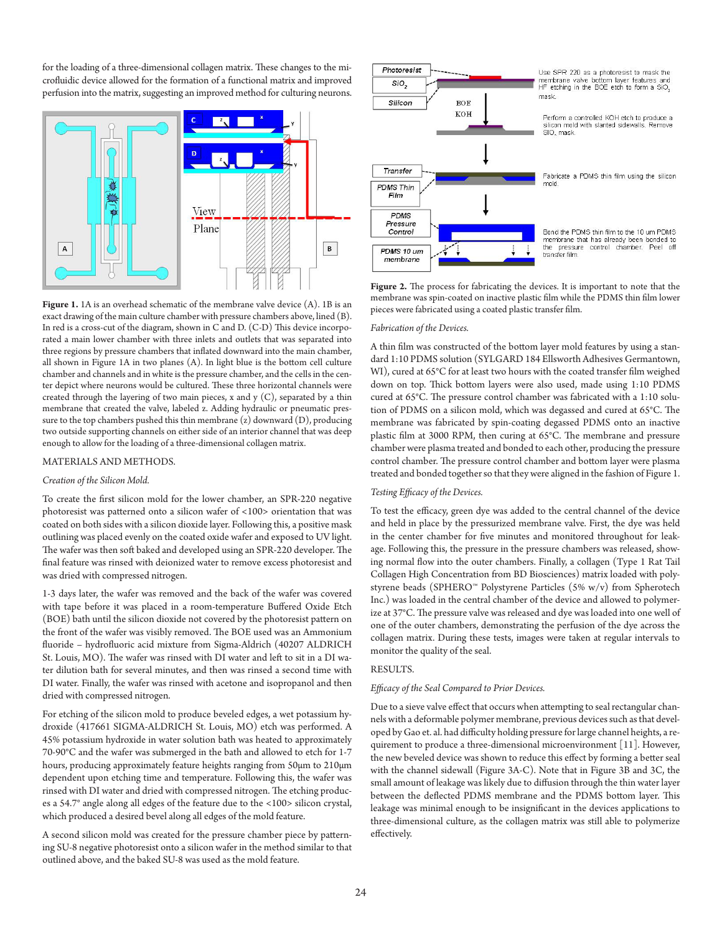for the loading of a three-dimensional collagen matrix. These changes to the microfluidic device allowed for the formation of a functional matrix and improved perfusion into the matrix, suggesting an improved method for culturing neurons.



Figure 1. 1A is an overhead schematic of the membrane valve device (A). 1B is an exact drawing of the main culture chamber with pressure chambers above, lined (B). In red is a cross-cut of the diagram, shown in C and D. (C-D) This device incorporated a main lower chamber with three inlets and outlets that was separated into three regions by pressure chambers that inflated downward into the main chamber, all shown in Figure 1A in two planes (A). In light blue is the bottom cell culture chamber and channels and in white is the pressure chamber, and the cells in the center depict where neurons would be cultured. These three horizontal channels were created through the layering of two main pieces, x and y  $(C)$ , separated by a thin membrane that created the valve, labeled z. Adding hydraulic or pneumatic pressure to the top chambers pushed this thin membrane  $(z)$  downward  $(D)$ , producing two outside supporting channels on either side of an interior channel that was deep enough to allow for the loading of a three-dimensional collagen matrix.

# MATERIALS AND METHODS.

## *Creation of the Silicon Mold.*

To create the first silicon mold for the lower chamber, an SPR-220 negative photoresist was patterned onto a silicon wafer of <100> orientation that was coated on both sides with a silicon dioxide layer. Following this, a positive mask outlining was placed evenly on the coated oxide wafer and exposed to UV light. The wafer was then soft baked and developed using an SPR-220 developer. The final feature was rinsed with deionized water to remove excess photoresist and was dried with compressed nitrogen.

1-3 days later, the wafer was removed and the back of the wafer was covered with tape before it was placed in a room-temperature Buffered Oxide Etch (BOE) bath until the silicon dioxide not covered by the photoresist pattern on the front of the wafer was visibly removed. The BOE used was an Ammonium fluoride – hydrofluoric acid mixture from Sigma-Aldrich (40207 ALDRICH St. Louis, MO). The wafer was rinsed with DI water and left to sit in a DI water dilution bath for several minutes, and then was rinsed a second time with DI water. Finally, the wafer was rinsed with acetone and isopropanol and then dried with compressed nitrogen.

For etching of the silicon mold to produce beveled edges, a wet potassium hydroxide (417661 SIGMA-ALDRICH St. Louis, MO) etch was performed. A 45% potassium hydroxide in water solution bath was heated to approximately 70-90°C and the wafer was submerged in the bath and allowed to etch for 1-7 hours, producing approximately feature heights ranging from 50µm to 210µm dependent upon etching time and temperature. Following this, the wafer was rinsed with DI water and dried with compressed nitrogen. The etching produces a 54.7° angle along all edges of the feature due to the <100> silicon crystal, which produced a desired bevel along all edges of the mold feature.

A second silicon mold was created for the pressure chamber piece by patterning SU-8 negative photoresist onto a silicon wafer in the method similar to that outlined above, and the baked SU-8 was used as the mold feature.



**Figure 2.** The process for fabricating the devices. It is important to note that the membrane was spin-coated on inactive plastic film while the PDMS thin film lower pieces were fabricated using a coated plastic transfer film.

### *Fabrication of the Devices.*

A thin film was constructed of the bottom layer mold features by using a standard 1:10 PDMS solution (SYLGARD 184 Ellsworth Adhesives Germantown, WI), cured at 65°C for at least two hours with the coated transfer film weighed down on top. Thick bottom layers were also used, made using 1:10 PDMS cured at 65°C. The pressure control chamber was fabricated with a 1:10 solution of PDMS on a silicon mold, which was degassed and cured at 65°C. The membrane was fabricated by spin-coating degassed PDMS onto an inactive plastic film at 3000 RPM, then curing at 65°C. The membrane and pressure chamber were plasma treated and bonded to each other, producing the pressure control chamber. The pressure control chamber and bottom layer were plasma treated and bonded together so that they were aligned in the fashion of Figure 1.

#### *Testing Efficacy of the Devices.*

To test the efficacy, green dye was added to the central channel of the device and held in place by the pressurized membrane valve. First, the dye was held in the center chamber for five minutes and monitored throughout for leakage. Following this, the pressure in the pressure chambers was released, showing normal flow into the outer chambers. Finally, a collagen (Type 1 Rat Tail Collagen High Concentration from BD Biosciences) matrix loaded with polystyrene beads (SPHERO<sup>™</sup> Polystyrene Particles (5% w/v) from Spherotech Inc.) was loaded in the central chamber of the device and allowed to polymerize at 37°C. The pressure valve was released and dye was loaded into one well of one of the outer chambers, demonstrating the perfusion of the dye across the collagen matrix. During these tests, images were taken at regular intervals to monitor the quality of the seal.

## RESULTS.

#### *Efficacy of the Seal Compared to Prior Devices.*

Due to a sieve valve effect that occurs when attempting to seal rectangular channels with a deformable polymer membrane, previous devices such as that developed by Gao et. al. had difficulty holding pressure for large channel heights, a requirement to produce a three-dimensional microenvironment [11]. However, the new beveled device was shown to reduce this effect by forming a better seal with the channel sidewall (Figure 3A-C). Note that in Figure 3B and 3C, the small amount of leakage was likely due to diffusion through the thin water layer between the deflected PDMS membrane and the PDMS bottom layer. This leakage was minimal enough to be insignificant in the devices applications to three-dimensional culture, as the collagen matrix was still able to polymerize effectively.